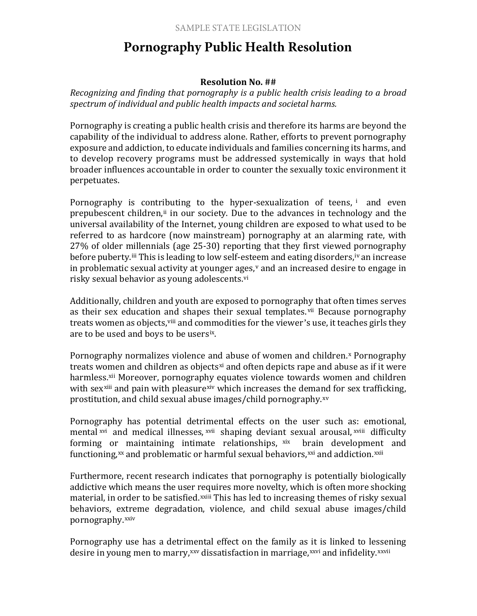## **Pornography Public Health Resolution**

## **Resolution No. ##**

*Recognizing and finding that pornography is a public health crisis leading to a broad spectrum of individual and public health impacts and societal harms.*

Pornography is creating a public health crisis and therefore its harms are beyond the capability of the individual to address alone. Rather, efforts to prevent pornography exposure and addiction, to educate individuals and families concerning its harms, and to develop recovery programs must be addressed systemically in ways that hold broader influences accountable in order to counter the sexually toxic e[nv](#page-1-0)ironment it perpetuates.

Pornography is contr[ib](#page-1-1)uting to the hyper-sexualization of teens, i and even prepubescent children,<sup>ii</sup> in our society. Due to the advances in technology and the universal avail[ab](#page-1-2)ility of the Internet, young children are exposed to wh[at](#page-1-3) used to be referred to as hardcore (now mainstream) pornography at an alarming rate, with 27% of older millennials (age 25-30) reporting that they first viewed pornography before puberty.<sup>iii</sup> This is leading to low self-[es](#page-1-5)t[ee](#page-1-4)m and eating disorders, iv an increase in problematic sexual activity at younger ages, $\theta$  and an increased desire to engage in risky sexual behavior as young adolescents.vi

Additionally, children a[nd y](#page-1-6)outh ar[e](#page-1-7) exposed to pornograp[hy](#page-1-0) that often times serves as their sex education and shapes their sexual templates. vii Because pornography treats women as objects, vill and commodities for the viewer's use, it te[ac](#page-1-8)hes girls they are to be used and boys to be usersix.

Pornogra[ph](#page-1-10)y normalizes violence an[d](#page-1-9) abuse of women and children.<sup>x</sup> Pornography treats w[om](#page-1-11)en and children as obj[ects](#page-1-12)<sup>xi</sup> a[nd](#page-1-13) often depicts rape and abuse as if it were harmless.<sup>xii</sup> Moreover, pornography equates violence towards women and children with sex<sup>xiii</sup> and pain with pleasure<sup>xiv</sup> which increases the demand for sex [tr](#page-1-15)afficking, prostit[uti](#page-1-6)on, and child sexual abu[se i](#page-1-14)mages/child pornography.xv

Pornograph[y](#page-1-16) has potential detrimental effects on [th](#page-1-8)e u[se](#page-1-6)r such as: e[mot](#page-1-8)ional, mental xvi and medical illnesses, xvii shaping deviant sexual arousal, xviii difficulty forming or maintaining intimate relationships, xix brain development and functioning, $x^x$  [a](#page-1-17)nd problematic or harmful sexual behaviors, $x^x$  and addiction. $x^{xii}$ 

Furthermore, recent research indicates that pornography is potentially biologically addictive which means the user requires more novelty, which is often more shocking material, in o[rde](#page-1-18)r to be satisfied.<sup>xxiii</sup> This has led to increasing themes of risky sexual behaviors, extreme degradation, violence, and child sexual abuse images/[ch](#page-1-20)ild pornography.xxiv

Pornography use has a detri[men](#page-1-5)tal effect on the family as [it i](#page-1-19)s linked to lessening desire in young men to marry, xxv dissatisfaction in marriage, xxvi and infidelity. xxvii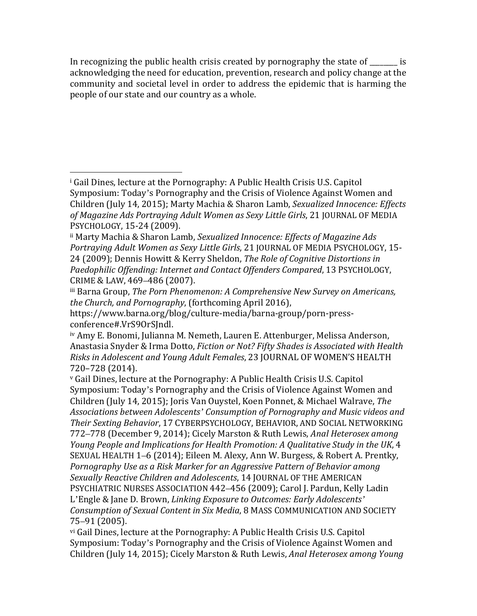<span id="page-1-20"></span>In recognizing the public health crisis created by pornography the state of  $\qquad \qquad$  is acknowledging the need for education, prevention, research and policy change at the community and societal level in order to address the epidemic that is harming the people of our state and our country as a whole.

<span id="page-1-16"></span><span id="page-1-0"></span><sup>i</sup> Gail Dines, lecture at the Pornography: A Public Health Crisis U.S. Capitol Symposium: Today's Pornography and the Crisis of Violence Against Women and Children (July 14, 2015); Marty Machia & Sharon Lamb, *Sexualized Innocence: Effects of Magazine Ads Portraying Adult Women as Sexy Little Girls*, 21 JOURNAL OF MEDIA PSYCHOLOGY, 15-24 (2009). i<br>I

<span id="page-1-9"></span><span id="page-1-1"></span>ii Marty Machia & Sharon Lamb, *Sexualized Innocence: Effects of Magazine Ads Portraying Adult Women as Sexy Little Girls*, 21 JOURNAL OF MEDIA PSYCHOLOGY, 15- 24 (2009); Dennis Howitt & Kerry Sheldon, *The Role of Cognitive Distortions in Paedophilic Offending: Internet and Contact Offenders Compared*, 13 PSYCHOLOGY, CRIME & LAW, 469–486 (2007).

<span id="page-1-2"></span>iii Barna Group, *The Porn Phenomenon: A Comprehensive New Survey on Americans, the Church, and Pornography*, (forthcoming April 2016),

<span id="page-1-6"></span>https://www.barna.org/blog/culture-media/barna-group/porn-press-

<span id="page-1-10"></span><span id="page-1-7"></span><span id="page-1-3"></span><sup>&</sup>lt;sup>iv</sup> Amy E. Bonomi, Julianna M. Nemeth, Lauren E. Attenburger, Melissa Anderson, Anastasia Snyder & Irma Dotto, *Fiction or Not? Fifty Shades is Associated with Health Risks in Adolescent and Young Adult Females*, 23 JOURNAL OF WOMEN'S HEALTH 720–728 (2014).

<span id="page-1-18"></span><span id="page-1-17"></span><span id="page-1-15"></span><span id="page-1-14"></span><span id="page-1-11"></span><span id="page-1-4"></span><sup>v</sup> Gail Dines, lecture at the Pornography: A Public Health Crisis U.S. Capitol Symposium: Today's Pornography and the Crisis of Violence Against Women and Children (July 14, 2015); Joris Van Ouystel, Koen Ponnet, & Michael Walrave, *The Associations between Adolescents' Consumption of Pornography and Music videos and Their Sexting Behavior*, 17 CYBERPSYCHOLOGY, BEHAVIOR, AND SOCIAL NETWORKING 772–778 (December 9, 2014); Cicely Marston & Ruth Lewis, *Anal Heterosex among Young People and Implications for Health Promotion: A Qualitative Study in the UK*, 4 SEXUAL HEALTH 1–6 (2014); Eileen M. Alexy, Ann W. Burgess, & Robert A. Prentky, *Pornography Use as a Risk Marker for an Aggressive Pattern of Behavior among Sexually Reactive Children and Adolescents*, 14 JOURNAL OF THE AMERICAN PSYCHIATRIC NURSES ASSOCIATION 442–456 (2009); Carol J. Pardun, Kelly Ladin L'Engle & Jane D. Brown, *Linking Exposure to Outcomes: Early Adolescents' Consumption of Sexual Content in Six Media*, 8 MASS COMMUNICATION AND SOCIETY 75–91 (2005).

<span id="page-1-19"></span><span id="page-1-13"></span><span id="page-1-12"></span><span id="page-1-8"></span><span id="page-1-5"></span>vi Gail Dines, lecture at the Pornography: A Public Health Crisis U.S. Capitol Symposium: Today's Pornography and the Crisis of Violence Against Women and Children (July 14, 2015); Cicely Marston & Ruth Lewis, *Anal Heterosex among Young*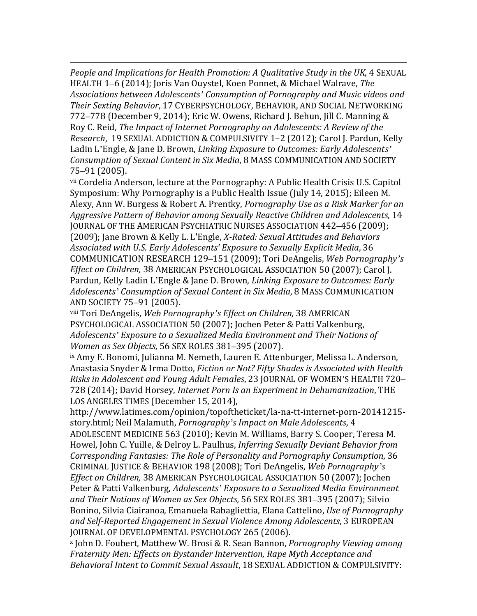i<br>I *People and Implications for Health Promotion: A Qualitative Study in the UK*, 4 SEXUAL HEALTH 1–6 (2014); Joris Van Ouystel, Koen Ponnet, & Michael Walrave, *The Associations between Adolescents' Consumption of Pornography and Music videos and Their Sexting Behavior*, 17 CYBERPSYCHOLOGY, BEHAVIOR, AND SOCIAL NETWORKING 772–778 (December 9, 2014); Eric W. Owens, Richard J. Behun, Jill C. Manning & Roy C. Reid, *The Impact of Internet Pornography on Adolescents: A Review of the Research*, 19 SEXUAL ADDICTION & COMPULSIVITY 1–2 (2012); Carol J. Pardun, Kelly Ladin L'Engle, & Jane D. Brown, *Linking Exposure to Outcomes: Early Adolescents' Consumption of Sexual Content in Six Media*, 8 MASS COMMUNICATION AND SOCIETY 75–91 (2005).

vii Cordelia Anderson, lecture at the Pornography: A Public Health Crisis U.S. Capitol Symposium: Why Pornography is a Public Health Issue (July 14, 2015); Eileen M. Alexy, Ann W. Burgess & Robert A. Prentky, *Pornography Use as a Risk Marker for an Aggressive Pattern of Behavior among Sexually Reactive Children and Adolescents*, 14 JOURNAL OF THE AMERICAN PSYCHIATRIC NURSES ASSOCIATION 442–456 (2009); (2009); Jane Brown & Kelly L. L'Engle, *X-Rated: Sexual Attitudes and Behaviors Associated with U.S. Early Adolescents' Exposure to Sexually Explicit Media*, 36 COMMUNICATION RESEARCH 129–151 (2009); Tori DeAngelis, *Web Pornography's Effect on Children,* 38 AMERICAN PSYCHOLOGICAL ASSOCIATION 50 (2007); Carol J. Pardun, Kelly Ladin L'Engle & Jane D. Brown, *Linking Exposure to Outcomes: Early Adolescents' Consumption of Sexual Content in Six Media*, 8 MASS COMMUNICATION AND SOCIETY 75–91 (2005).

viii Tori DeAngelis, *Web Pornography's Effect on Children,* 38 AMERICAN PSYCHOLOGICAL ASSOCIATION 50 (2007); Jochen Peter & Patti Valkenburg, *Adolescents' Exposure to a Sexualized Media Environment and Their Notions of Women as Sex Objects,* 56 SEX ROLES 381–395 (2007).

ix Amy E. Bonomi, Julianna M. Nemeth, Lauren E. Attenburger, Melissa L. Anderson, Anastasia Snyder & Irma Dotto, *Fiction or Not? Fifty Shades is Associated with Health Risks in Adolescent and Young Adult Females*, 23 JOURNAL OF WOMEN'S HEALTH 720– 728 (2014); David Horsey, *Internet Porn Is an Experiment in Dehumanization*, THE LOS ANGELES TIMES (December 15, 2014),

http://www.latimes.com/opinion/topoftheticket/la-na-tt-internet-porn-20141215 story.html; Neil Malamuth, *Pornography's Impact on Male Adolescents*, 4

ADOLESCENT MEDICINE 563 (2010); Kevin M. Williams, Barry S. Cooper, Teresa M. Howel, John C. Yuille, & Delroy L. Paulhus, *Inferring Sexually Deviant Behavior from Corresponding Fantasies: The Role of Personality and Pornography Consumption*, 36 CRIMINAL JUSTICE & BEHAVIOR 198 (2008); Tori DeAngelis, *Web Pornography's Effect on Children,* 38 AMERICAN PSYCHOLOGICAL ASSOCIATION 50 (2007); Jochen Peter & Patti Valkenburg, *Adolescents' Exposure to a Sexualized Media Environment and Their Notions of Women as Sex Objects,* 56 SEX ROLES 381–395 (2007); Silvio Bonino, Silvia Ciairanoa, Emanuela Rabagliettia, Elana Cattelino, *Use of Pornography and Self-Reported Engagement in Sexual Violence Among Adolescents*, 3 EUROPEAN JOURNAL OF DEVELOPMENTAL PSYCHOLOGY 265 (2006).

<sup>x</sup> John D. Foubert, Matthew W. Brosi & R. Sean Bannon, *Pornography Viewing among Fraternity Men: Effects on Bystander Intervention, Rape Myth Acceptance and Behavioral Intent to Commit Sexual Assault*, 18 SEXUAL ADDICTION & COMPULSIVITY: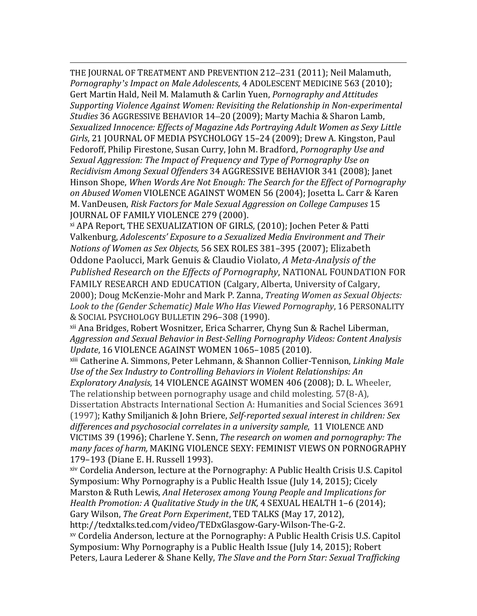i<br>I THE JOURNAL OF TREATMENT AND PREVENTION 212–231 (2011); Neil Malamuth, *Pornography's Impact on Male Adolescents*, 4 ADOLESCENT MEDICINE 563 (2010); Gert Martin Hald, Neil M. Malamuth & Carlin Yuen, *Pornography and Attitudes Supporting Violence Against Women: Revisiting the Relationship in Non-experimental Studies* 36 AGGRESSIVE BEHAVIOR 14–20 (2009); Marty Machia & Sharon Lamb, *Sexualized Innocence: Effects of Magazine Ads Portraying Adult Women as Sexy Little Girls*, 21 JOURNAL OF MEDIA PSYCHOLOGY 15–24 (2009); Drew A. Kingston, Paul Fedoroff, Philip Firestone, Susan Curry, John M. Bradford, *Pornography Use and Sexual Aggression: The Impact of Frequency and Type of Pornography Use on Recidivism Among Sexual Offenders* 34 AGGRESSIVE BEHAVIOR 341 (2008); Janet Hinson Shope, *When Words Are Not Enough: The Search for the Effect of Pornography on Abused Women* VIOLENCE AGAINST WOMEN 56 (2004); Josetta L. Carr & Karen M. VanDeusen, *Risk Factors for Male Sexual Aggression on College Campuses* 15 JOURNAL OF FAMILY VIOLENCE 279 (2000).

xi APA Report, THE SEXUALIZATION OF GIRLS, (2010); Jochen Peter & Patti Valkenburg, *Adolescents' Exposure to a Sexualized Media Environment and Their Notions of Women as Sex Objects,* 56 SEX ROLES 381–395 (2007); Elizabeth Oddone Paolucci, Mark Genuis & Claudio Violato, *A Meta-Analysis of the Published Research on the Effects of Pornography*, NATIONAL FOUNDATION FOR FAMILY RESEARCH AND EDUCATION (Calgary, Alberta, University of Calgary, 2000); Doug McKenzie-Mohr and Mark P. Zanna, *Treating Women as Sexual Objects: Look to the (Gender Schematic) Male Who Has Viewed Pornography*, 16 PERSONALITY & SOCIAL PSYCHOLOGY BULLETIN 296–308 (1990).

xii Ana Bridges, Robert Wosnitzer, Erica Scharrer, Chyng Sun & Rachel Liberman, *Aggression and Sexual Behavior in Best-Selling Pornography Videos: Content Analysis Update*, 16 VIOLENCE AGAINST WOMEN 1065–1085 (2010).

xiii Catherine A. Simmons, Peter Lehmann, & Shannon Collier-Tennison, *Linking Male Use of the Sex Industry to Controlling Behaviors in Violent Relationships: An Exploratory Analysis*, 14 VIOLENCE AGAINST WOMEN 406 (2008); D. L. Wheeler, The relationship between pornography usage and child molesting. 57(8-A), Dissertation Abstracts International Section A: Humanities and Social Sciences 3691 (1997); Kathy Smiljanich & John Briere, *Self-reported sexual interest in children: Sex differences and psychosocial correlates in a university sample*, 11 VIOLENCE AND VICTIMS 39 (1996); Charlene Y. Senn, *The research on women and pornography: The many faces of harm,* MAKING VIOLENCE SEXY: FEMINIST VIEWS ON PORNOGRAPHY 179–193 (Diane E. H. Russell 1993).

xiv Cordelia Anderson, lecture at the Pornography: A Public Health Crisis U.S. Capitol Symposium: Why Pornography is a Public Health Issue (July 14, 2015); Cicely Marston & Ruth Lewis, *Anal Heterosex among Young People and Implications for Health Promotion: A Qualitative Study in the UK*, 4 SEXUAL HEALTH 1–6 (2014); Gary Wilson, *The Great Porn Experiment*, TED TALKS (May 17, 2012), http://tedxtalks.ted.com/video/TEDxGlasgow-Gary-Wilson-The-G-2. xv Cordelia Anderson, lecture at the Pornography: A Public Health Crisis U.S. Capitol Symposium: Why Pornography is a Public Health Issue (July 14, 2015); Robert Peters, Laura Lederer & Shane Kelly, *The Slave and the Porn Star: Sexual Trafficking*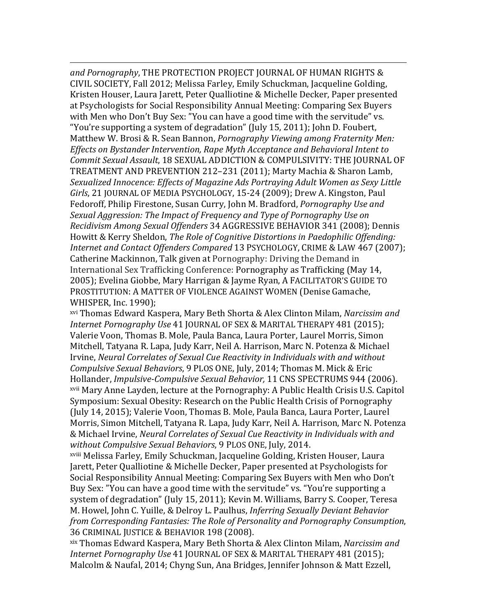i<br>I *and Pornography*, THE PROTECTION PROJECT JOURNAL OF HUMAN RIGHTS & CIVIL SOCIETY, Fall 2012; Melissa Farley, Emily Schuckman, Jacqueline Golding, Kristen Houser, Laura Jarett, Peter Qualliotine & Michelle Decker, Paper presented at Psychologists for Social Responsibility Annual Meeting: Comparing Sex Buyers with Men who Don't Buy Sex: "You can have a good time with the servitude" vs. "You're supporting a system of degradation" (July 15, 2011); John D. Foubert, Matthew W. Brosi & R. Sean Bannon, *Pornography Viewing among Fraternity Men: Effects on Bystander Intervention, Rape Myth Acceptance and Behavioral Intent to Commit Sexual Assault*, 18 SEXUAL ADDICTION & COMPULSIVITY: THE JOURNAL OF TREATMENT AND PREVENTION 212–231 (2011); Marty Machia & Sharon Lamb, *Sexualized Innocence: Effects of Magazine Ads Portraying Adult Women as Sexy Little Girls*, 21 JOURNAL OF MEDIA PSYCHOLOGY, 15-24 (2009); Drew A. Kingston, Paul Fedoroff, Philip Firestone, Susan Curry, John M. Bradford, *Pornography Use and Sexual Aggression: The Impact of Frequency and Type of Pornography Use on Recidivism Among Sexual Offenders* 34 AGGRESSIVE BEHAVIOR 341 (2008); Dennis Howitt & Kerry Sheldon, *The Role of Cognitive Distortions in Paedophilic Offending: Internet and Contact Offenders Compared* 13 PSYCHOLOGY, CRIME & LAW 467 (2007); Catherine Mackinnon, Talk given at Pornography: Driving the Demand in International Sex Trafficking Conference: Pornography as Trafficking (May 14, 2005); Evelina Giobbe, Mary Harrigan & Jayme Ryan, A FACILITATOR'S GUIDE TO PROSTITUTION: A MATTER OF VIOLENCE AGAINST WOMEN (Denise Gamache, WHISPER, Inc. 1990);

xvi Thomas Edward Kaspera, Mary Beth Shorta & Alex Clinton Milam, *Narcissim and Internet Pornography Use* 41 JOURNAL OF SEX & MARITAL THERAPY 481 (2015); Valerie Voon, Thomas B. Mole, Paula Banca, Laura Porter, Laurel Morris, Simon Mitchell, Tatyana R. Lapa, Judy Karr, Neil A. Harrison, Marc N. Potenza & Michael Irvine, *Neural Correlates of Sexual Cue Reactivity in Individuals with and without Compulsive Sexual Behaviors*, 9 PLOS ONE, July, 2014; Thomas M. Mick & Eric Hollander, *Impulsive-Compulsive Sexual Behavior,* 11 CNS SPECTRUMS 944 (2006). xvii Mary Anne Layden, lecture at the Pornography: A Public Health Crisis U.S. Capitol Symposium: Sexual Obesity: Research on the Public Health Crisis of Pornography (July 14, 2015); Valerie Voon, Thomas B. Mole, Paula Banca, Laura Porter, Laurel Morris, Simon Mitchell, Tatyana R. Lapa, Judy Karr, Neil A. Harrison, Marc N. Potenza & Michael Irvine, *Neural Correlates of Sexual Cue Reactivity in Individuals with and without Compulsive Sexual Behaviors*, 9 PLOS ONE, July, 2014.

xviii Melissa Farley, Emily Schuckman, Jacqueline Golding, Kristen Houser, Laura Jarett, Peter Qualliotine & Michelle Decker, Paper presented at Psychologists for Social Responsibility Annual Meeting: Comparing Sex Buyers with Men who Don't Buy Sex: "You can have a good time with the servitude" vs. "You're supporting a system of degradation" (July 15, 2011); Kevin M. Williams, Barry S. Cooper, Teresa M. Howel, John C. Yuille, & Delroy L. Paulhus, *Inferring Sexually Deviant Behavior from Corresponding Fantasies: The Role of Personality and Pornography Consumption*, 36 CRIMINAL JUSTICE & BEHAVIOR 198 (2008).

xix Thomas Edward Kaspera, Mary Beth Shorta & Alex Clinton Milam, *Narcissim and Internet Pornography Use* 41 JOURNAL OF SEX & MARITAL THERAPY 481 (2015); Malcolm & Naufal, 2014; Chyng Sun, Ana Bridges, Jennifer Johnson & Matt Ezzell,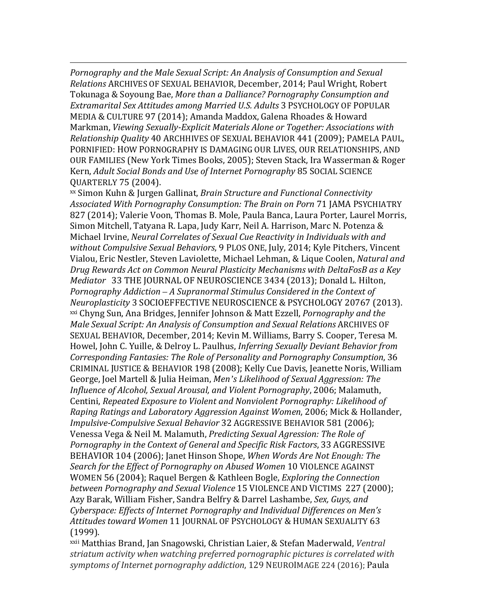i<br>I *Pornography and the Male Sexual Script: An Analysis of Consumption and Sexual Relations* ARCHIVES OF SEXUAL BEHAVIOR, December, 2014; Paul Wright, Robert Tokunaga & Soyoung Bae, *More than a Dalliance? Pornography Consumption and Extramarital Sex Attitudes among Married U.S. Adults* 3 PSYCHOLOGY OF POPULAR MEDIA & CULTURE 97 (2014); Amanda Maddox, Galena Rhoades & Howard Markman, *Viewing Sexually-Explicit Materials Alone or Together: Associations with Relationship Quality* 40 ARCHHIVES OF SEXUAL BEHAVIOR 441 (2009); PAMELA PAUL, PORNIFIED: HOW PORNOGRAPHY IS DAMAGING OUR LIVES, OUR RELATIONSHIPS, AND OUR FAMILIES (New York Times Books, 2005); Steven Stack, Ira Wasserman & Roger Kern, *Adult Social Bonds and Use of Internet Pornography* 85 SOCIAL SCIENCE QUARTERLY 75 (2004).

xx Simon Kuhn & Jurgen Gallinat, *Brain Structure and Functional Connectivity Associated With Pornography Consumption: The Brain on Porn* 71 JAMA PSYCHIATRY 827 (2014); Valerie Voon, Thomas B. Mole, Paula Banca, Laura Porter, Laurel Morris, Simon Mitchell, Tatyana R. Lapa, Judy Karr, Neil A. Harrison, Marc N. Potenza & Michael Irvine, *Neural Correlates of Sexual Cue Reactivity in Individuals with and without Compulsive Sexual Behaviors*, 9 PLOS ONE, July, 2014; Kyle Pitchers, Vincent Vialou, Eric Nestler, Steven Laviolette, Michael Lehman, & Lique Coolen, *Natural and Drug Rewards Act on Common Neural Plasticity Mechanisms with DeltaFosB as a Key Mediator* 33 THE JOURNAL OF NEUROSCIENCE 3434 (2013); Donald L. Hilton, *Pornography Addiction – A Supranormal Stimulus Considered in the Context of Neuroplasticity* 3 SOCIOEFFECTIVE NEUROSCIENCE & PSYCHOLOGY 20767 (2013). xxi Chyng Sun, Ana Bridges, Jennifer Johnson & Matt Ezzell, *Pornography and the Male Sexual Script: An Analysis of Consumption and Sexual Relations* ARCHIVES OF SEXUAL BEHAVIOR, December, 2014; Kevin M. Williams, Barry S. Cooper, Teresa M. Howel, John C. Yuille, & Delroy L. Paulhus, *Inferring Sexually Deviant Behavior from Corresponding Fantasies: The Role of Personality and Pornography Consumption*, 36 CRIMINAL JUSTICE & BEHAVIOR 198 (2008); Kelly Cue Davis, Jeanette Noris, William George, Joel Martell & Julia Heiman, *Men's Likelihood of Sexual Aggression: The Influence of Alcohol, Sexual Arousal, and Violent Pornography*, 2006; Malamuth, Centini, *Repeated Exposure to Violent and Nonviolent Pornography: Likelihood of Raping Ratings and Laboratory Aggression Against Women*, 2006; Mick & Hollander, *Impulsive-Compulsive Sexual Behavior* 32 AGGRESSIVE BEHAVIOR 581 (2006); Venessa Vega & Neil M. Malamuth, *Predicting Sexual Agression: The Role of Pornography in the Context of General and Specific Risk Factors*, 33 AGGRESSIVE BEHAVIOR 104 (2006); Janet Hinson Shope, *When Words Are Not Enough: The Search for the Effect of Pornography on Abused Women* 10 VIOLENCE AGAINST WOMEN 56 (2004); Raquel Bergen & Kathleen Bogle, *Exploring the Connection between Pornography and Sexual Violence* 15 VIOLENCE AND VICTIMS 227 (2000); Azy Barak, William Fisher, Sandra Belfry & Darrel Lashambe, *Sex, Guys, and Cyberspace: Effects of Internet Pornography and Individual Differences on Men's Attitudes toward Women* 11 JOURNAL OF PSYCHOLOGY & HUMAN SEXUALITY 63 (1999).

xxii Matthias Brand, Jan Snagowski, Christian Laier, & Stefan Maderwald, *Ventral striatum activity when watching preferred pornographic pictures is correlated with symptoms of Internet pornography addiction*, 129 NEUROIMAGE 224 (2016); Paula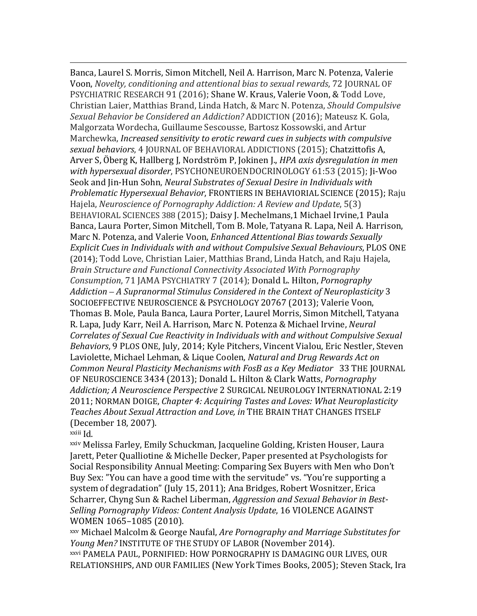i<br>I Banca, Laurel S. Morris, Simon Mitchell, Neil A. Harrison, Marc N. Potenza, Valerie Voon, *Novelty, conditioning and attentional bias to sexual rewards*, 72 JOURNAL OF PSYCHIATRIC RESEARCH 91 (2016); Shane W. Kraus, Valerie Voon, & Todd Love, Christian Laier, Matthias Brand, Linda Hatch, & Marc N. Potenza, *Should Compulsive Sexual Behavior be Considered an Addiction?* ADDICTION (2016); Mateusz K. Gola, Malgorzata Wordecha, Guillaume Sescousse, Bartosz Kossowski, and Artur Marchewka, *Increased sensitivity to erotic reward cues in subjects with compulsive sexual behaviors*, 4 JOURNAL OF BEHAVIORAL ADDICTIONS (2015); Chatzittofis A, Arver S, Öberg K, Hallberg J, Nordström P, Jokinen J., *HPA axis dysregulation in men with hypersexual disorder*, PSYCHONEUROENDOCRINOLOGY 61:53 (2015); Ji-Woo Seok and Jin-Hun Sohn, *Neural Substrates of Sexual Desire in Individuals with Problematic Hypersexual Behavior*, FRONTIERS IN BEHAVIORIAL SCIENCE (2015); Raju Hajela, *Neuroscience of Pornography Addiction: A Review and Update*, 5(3) BEHAVIORAL SCIENCES 388 (2015); Daisy J. Mechelmans,1 Michael Irvine,1 Paula Banca, Laura Porter, Simon Mitchell, Tom B. Mole, Tatyana R. Lapa, Neil A. Harrison, Marc N. Potenza, and Valerie Voon, *Enhanced Attentional Bias towards Sexually Explicit Cues in Individuals with and without Compulsive Sexual Behaviours*, PLOS ONE (2014); Todd Love, Christian Laier, Matthias Brand, Linda Hatch, and Raju Hajela, *Brain Structure and Functional Connectivity Associated With Pornography Consumption*, 71 JAMA PSYCHIATRY 7 (2014); Donald L. Hilton, *Pornography Addiction – A Supranormal Stimulus Considered in the Context of Neuroplasticity* 3 SOCIOEFFECTIVE NEUROSCIENCE & PSYCHOLOGY 20767 (2013); Valerie Voon, Thomas B. Mole, Paula Banca, Laura Porter, Laurel Morris, Simon Mitchell, Tatyana R. Lapa, Judy Karr, Neil A. Harrison, Marc N. Potenza & Michael Irvine, *Neural Correlates of Sexual Cue Reactivity in Individuals with and without Compulsive Sexual Behaviors*, 9 PLOS ONE, July, 2014; Kyle Pitchers, Vincent Vialou, Eric Nestler, Steven Laviolette, Michael Lehman, & Lique Coolen, *Natural and Drug Rewards Act on Common Neural Plasticity Mechanisms with FosB as a Key Mediator* 33 THE JOURNAL OF NEUROSCIENCE 3434 (2013); Donald L. Hilton & Clark Watts, *Pornography Addiction; A Neuroscience Perspective* 2 SURGICAL NEUROLOGY INTERNATIONAL 2:19 2011; NORMAN DOIGE, *Chapter 4: Acquiring Tastes and Loves: What Neuroplasticity Teaches About Sexual Attraction and Love, in* THE BRAIN THAT CHANGES ITSELF (December 18, 2007).

xxiii Id.

xxiv Melissa Farley, Emily Schuckman, Jacqueline Golding, Kristen Houser, Laura Jarett, Peter Qualliotine & Michelle Decker, Paper presented at Psychologists for Social Responsibility Annual Meeting: Comparing Sex Buyers with Men who Don't Buy Sex: "You can have a good time with the servitude" vs. "You're supporting a system of degradation" (July 15, 2011); Ana Bridges, Robert Wosnitzer, Erica Scharrer, Chyng Sun & Rachel Liberman, *Aggression and Sexual Behavior in Best-Selling Pornography Videos: Content Analysis Update*, 16 VIOLENCE AGAINST WOMEN 1065–1085 (2010).

xxv Michael Malcolm & George Naufal, *Are Pornography and Marriage Substitutes for Young Men?* INSTITUTE OF THE STUDY OF LABOR (November 2014).

xxvi PAMELA PAUL, PORNIFIED: HOW PORNOGRAPHY IS DAMAGING OUR LIVES, OUR RELATIONSHIPS, AND OUR FAMILIES (New York Times Books, 2005); Steven Stack, Ira